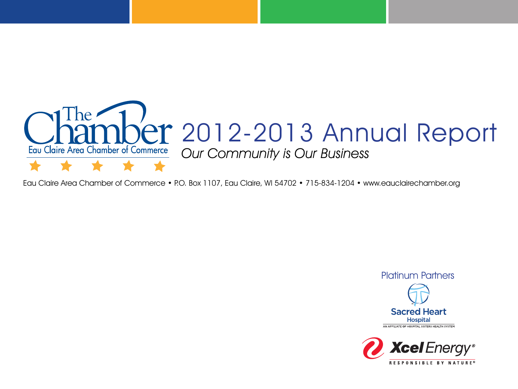

Eau Claire Area Chamber of Commerce • P.O. Box 1107, Eau Claire, WI 54702 • 715-834-1204 • www.eauclairechamber.org



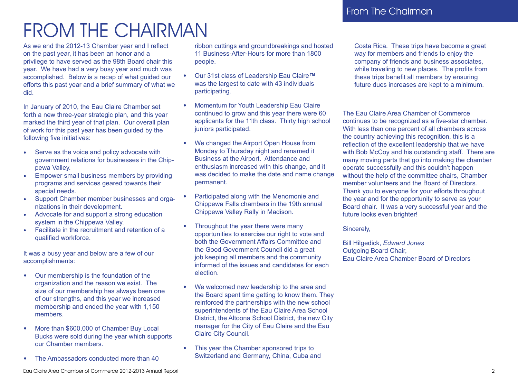# FROM THE CHAIRMAN

As we end the 2012-13 Chamber year and I reflect on the past year, it has been an honor and a privilege to have served as the 98th Board chair this year. We have had a very busy year and much was accomplished. Below is a recap of what guided our efforts this past year and a brief summary of what we did.

In January of 2010, the Eau Claire Chamber set forth a new three-year strategic plan, and this year marked the third year of that plan. Our overall plan of work for this past year has been guided by the following five initiatives:

- Serve as the voice and policy advocate with government relations for businesses in the Chippewa Valley.
- Empower small business members by providing programs and services geared towards their special needs.
- Support Chamber member businesses and organizations in their development.
- Advocate for and support a strong education system in the Chippewa Valley.
- Facilitate in the recruitment and retention of a qualified workforce.

It was a busy year and below are a few of our accomplishments:

- Our membership is the foundation of the organization and the reason we exist. The size of our membership has always been one of our strengths, and this year we increased membership and ended the year with 1,150 members.
- More than \$600,000 of Chamber Buy Local Bucks were sold during the year which supports our Chamber members.
- The Ambassadors conducted more than 40

ribbon cuttings and groundbreakings and hosted 11 Business-After-Hours for more than 1800 people.

- Our 31st class of Leadership Eau Claire**™** was the largest to date with 43 individuals participating.
- Momentum for Youth Leadership Eau Claire continued to grow and this year there were 60 applicants for the 11th class. Thirty high school juniors participated.
- We changed the Airport Open House from Monday to Thursday night and renamed it Business at the Airport. Attendance and enthusiasm increased with this change, and it was decided to make the date and name change permanent.
- Participated along with the Menomonie and Chippewa Falls chambers in the 19th annual Chippewa Valley Rally in Madison.
- Throughout the year there were many opportunities to exercise our right to vote and both the Government Affairs Committee and the Good Government Council did a great job keeping all members and the community informed of the issues and candidates for each election.
- We welcomed new leadership to the area and the Board spent time getting to know them. They reinforced the partnerships with the new school superintendents of the Eau Claire Area School District, the Altoona School District, the new City manager for the City of Eau Claire and the Eau Claire City Council.
- This year the Chamber sponsored trips to Switzerland and Germany, China, Cuba and

Costa Rica. These trips have become a great way for members and friends to enjoy the company of friends and business associates, while traveling to new places. The profits from these trips benefit all members by ensuring future dues increases are kept to a minimum.

The Eau Claire Area Chamber of Commerce continues to be recognized as a five-star chamber. With less than one percent of all chambers across the country achieving this recognition, this is a reflection of the excellent leadership that we have with Bob McCoy and his outstanding staff. There are many moving parts that go into making the chamber operate successfully and this couldn't happen without the help of the committee chairs, Chamber member volunteers and the Board of Directors. Thank you to everyone for your efforts throughout the year and for the opportunity to serve as your Board chair. It was a very successful year and the future looks even brighter!

Sincerely,

Bill Hilgedick, *Edward Jones* Outgoing Board Chair, Eau Claire Area Chamber Board of Directors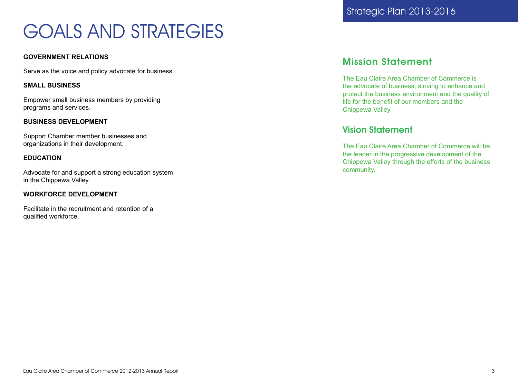# GOALS AND STRATEGIES

#### **GOVERNMENT RELATIONS**

Serve as the voice and policy advocate for business.

#### **SMALL BUSINESS**

Empower small business members by providing programs and services.

#### **BUSINESS DEVELOPMENT**

Support Chamber member businesses and organizations in their development.

#### **EDUCATION**

Advocate for and support a strong education system in the Chippewa Valley.

#### **WORKFORCE DEVELOPMENT**

Facilitate in the recruitment and retention of a qualified workforce.

# Mission Statement

The Eau Claire Area Chamber of Commerce is the advocate of business, striving to enhance and protect the business environment and the quality of life for the benefit of our members and the Chippewa Valley.

# Vision Statement

The Eau Claire Area Chamber of Commerce will be the leader in the progressive development of the Chippewa Valley through the efforts of the business community.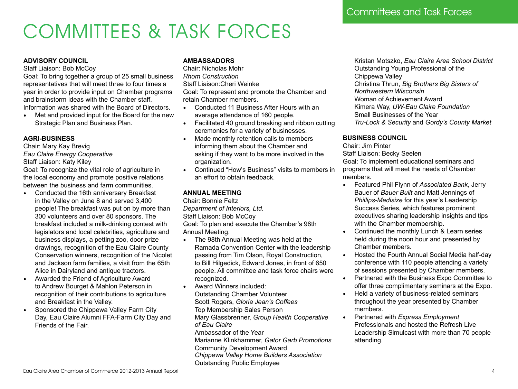# COMMITTEES & TASK FORCES

#### **ADVISORY COUNCIL**

Staff Liaison: Bob McCoy

Goal: To bring together a group of 25 small business representatives that will meet three to four times a year in order to provide input on Chamber programs and brainstorm ideas with the Chamber staff. Information was shared with the Board of Directors.

• Met and provided input for the Board for the new Strategic Plan and Business Plan.

#### **AGRI-BUSINESS**

Chair: Mary Kay Brevig *Eau Claire Energy Cooperative*  Staff Liaison: Katy Kiley

Goal: To recognize the vital role of agriculture in the local economy and promote positive relations between the business and farm communities.

- Conducted the 16th anniversary Breakfast in the Valley on June 8 and served 3,400 people! The breakfast was put on by more than 300 volunteers and over 80 sponsors. The breakfast included a milk-drinking contest with legislators and local celebrities, agriculture and business displays, a petting zoo, door prize drawings, recognition of the Eau Claire County Conservation winners, recognition of the Nicolet and Jackson farm families, a visit from the 65th Alice in Dairyland and antique tractors.
- Awarded the Friend of Agriculture Award to Andrew Bourget & Mahlon Peterson in recognition of their contributions to agriculture and Breakfast in the Valley.
- Sponsored the Chippewa Valley Farm City Day, Eau Claire Alumni FFA-Farm City Day and Friends of the Fair.

### **AMBASSADORS**

Chair: Nicholas Mohr *Rhom Construction* Staff Liaison:Cheri Weinke Goal: To represent and promote the Chamber and retain Chamber members.

- Conducted 11 Business After Hours with an average attendance of 160 people.
- Facilitated 40 ground breaking and ribbon cutting ceremonies for a variety of businesses.
- Made monthly retention calls to members informing them about the Chamber and asking if they want to be more involved in the organization.
- Continued "How's Business" visits to members in an effort to obtain feedback.

## **ANNUAL MEETING**

Chair: Bonnie Feltz *Department of Interiors, Ltd.*  Staff Liaison: Bob McCoy Goal: To plan and execute the Chamber's 98th Annual Meeting.

- The 98th Annual Meeting was held at the Ramada Convention Center with the leadership passing from Tim Olson, Royal Construction, to Bill Hilgedick, Edward Jones, in front of 650 people. All committee and task force chairs were recognized.
- Award Winners included: Outstanding Chamber Volunteer Scott Rogers, *Gloria Jean's Coffees* Top Membership Sales Person Mary Glassbrenner, *Group Health Cooperative of Eau Claire* Ambassador of the Year Marianne Klinkhammer, *Gator Garb Promotions*
	- Community Development Award

*Chippewa Valley Home Builders Association*

Outstanding Public Employee

Kristan Motszko, *Eau Claire Area School District* Outstanding Young Professional of the Chippewa Valley Christina Thrun, *Big Brothers Big Sisters of Northwestern Wisconsin* Woman of Achievement Award Kimera Way, *UW-Eau Claire Foundation* Small Businesses of the Year *Tru-Lock & Security* and *Gordy's County Market*

### **BUSINESS COUNCIL**

Chair: Jim Pinter

Staff Liaison: Becky Seelen Goal: To implement educational seminars and programs that will meet the needs of Chamber members.

- Featured Phil Flynn of *Associated Bank*, Jerry Bauer of *Bauer Built* and Matt Jennings of *Phillips-Medisize* for this year's Leadership Success Series, which features prominent executives sharing leadership insights and tips with the Chamber membership.
- Continued the monthly Lunch & Learn series held during the noon hour and presented by Chamber members.
- Hosted the Fourth Annual Social Media half-day conference with 110 people attending a variety of sessions presented by Chamber members.
- Partnered with the Business Expo Committee to offer three complimentary seminars at the Expo.
- Held a variety of business-related seminars throughout the year presented by Chamber members.
- Partnered with *Express Employment* Professionals and hosted the Refresh Live Leadership Simulcast with more than 70 people attending.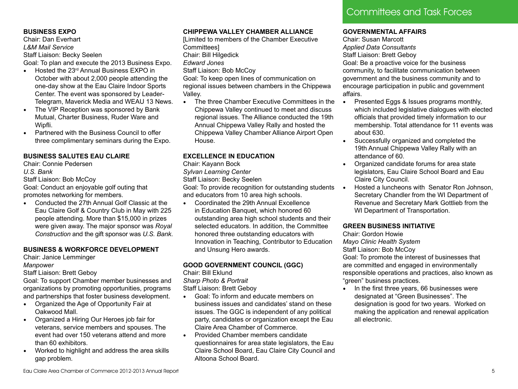## **BUSINESS EXPO**

Chair: Dan Everhart *L&M Mail Service*  Staff Liaison: Becky Seelen Goal: To plan and execute the 2013 Business Expo.

- Hosted the 23rd Annual Business EXPO in October with about 2,000 people attending the one-day show at the Eau Claire Indoor Sports Center. The event was sponsored by Leader-Telegram, Maverick Media and WEAU 13 News.
- The VIP Reception was sponsored by Bank Mutual, Charter Business, Ruder Ware and Wipfli.
- Partnered with the Business Council to offer three complimentary seminars during the Expo.

# **BUSINESS SALUTES EAU CLAIRE**

Chair: Connie Pedersen

#### *U.S. Bank*

Staff Liaison: Bob McCoy

Goal: Conduct an enjoyable golf outing that promotes networking for members.

• Conducted the 27th Annual Golf Classic at the Eau Claire Golf & Country Club in May with 225 people attending. More than \$15,000 in prizes were given away. The major sponsor was *Royal Construction* and the gift sponsor was *U.S. Bank*.

## **BUSINESS & WORKFORCE DEVELOPMENT**

Chair: Janice Lemminger

#### *Manpower*

Staff Liaison: Brett Geboy

Goal: To support Chamber member businesses and organizations by promoting opportunities, programs and partnerships that foster business development.

- Organized the Age of Opportunity Fair at Oakwood Mall.
- Organized a Hiring Our Heroes job fair for veterans, service members and spouses. The event had over 150 veterans attend and more than 60 exhibitors.
- Worked to highlight and address the area skills gap problem.

### **CHIPPEWA VALLEY CHAMBER ALLIANCE**

[Limited to members of the Chamber Executive Committees]

Chair: Bill Hilgedick

*Edward Jones* 

Staff Liaison: Bob McCoy

Goal: To keep open lines of communication on regional issues between chambers in the Chippewa Valley.

• The three Chamber Executive Committees in the Chippewa Valley continued to meet and discuss regional issues. The Alliance conducted the 19th Annual Chippewa Valley Rally and hosted the Chippewa Valley Chamber Alliance Airport Open House.

# **EXCELLENCE IN EDUCATION**

Chair: Kayann Bock

#### *Sylvan Learning Center*

Staff Liaison: Becky Seelen

Goal: To provide recognition for outstanding students and educators from 10 area high schools.

• Coordinated the 29th Annual Excellence in Education Banquet, which honored 60 outstanding area high school students and their selected educators. In addition, the Committee honored three outstanding educators with Innovation in Teaching, Contributor to Education and Unsung Hero awards.

# **GOOD GOVERNMENT COUNCIL (GGC)**

Chair: Bill Eklund

*Sharp Photo & Portrait* 

Staff Liaison: Brett Geboy

- Goal: To inform and educate members on business issues and candidates' stand on these issues. The GGC is independent of any political party, candidates or organization except the Eau Claire Area Chamber of Commerce.
- Provided Chamber members candidate questionnaires for area state legislators, the Eau Claire School Board, Eau Claire City Council and Altoona School Board.

### **GOVERNMENTAL AFFAIRS**

Chair: Susan Marcott *Applied Data Consultants* Staff Liaison: Brett Geboy Goal: Be a proactive voice for the business community, to facilitate communication between government and the business community and to encourage participation in public and government affairs.

- Presented Eggs & Issues programs monthly, which included legislative dialogues with elected officials that provided timely information to our membership. Total attendance for 11 events was about 630.
- Successfully organized and completed the 19th Annual Chippewa Valley Rally with an attendance of 60.
- Organized candidate forums for area state legislators, Eau Claire School Board and Eau Claire City Council.
- Hosted a luncheons with Senator Ron Johnson, Secretary Chandler from the WI Department of Revenue and Secretary Mark Gottlieb from the WI Department of Transportation.

# **GREEN BUSINESS INITIATIVE**

Chair: Gordon Howie

*Mayo Clinic Health System* 

Staff Liaison: Bob McCoy

Goal: To promote the interest of businesses that are committed and engaged in environmentally responsible operations and practices, also known as "green" business practices.

• In the first three years, 66 businesses were designated at "Green Businesses". The designation is good for two years. Worked on making the application and renewal application all electronic.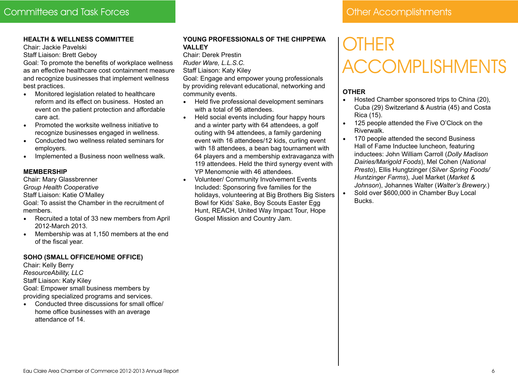#### **HEALTH & WELLNESS COMMITTEE**

Chair: Jackie Pavelski

Staff Liaison: Brett Geboy

Goal: To promote the benefits of workplace wellness as an effective healthcare cost containment measure and recognize businesses that implement wellness best practices.

- Monitored legislation related to healthcare reform and its effect on business. Hosted an event on the patient protection and affordable care act.
- Promoted the worksite wellness initiative to recognize businesses engaged in wellness.
- Conducted two wellness related seminars for employers.
- Implemented a Business noon wellness walk.

#### **MEMBERSHIP**

Chair: Mary Glassbrenner

*Group Health Cooperative* 

Staff Liaison: Katie O'Malley

Goal: To assist the Chamber in the recruitment of members.

- Recruited a total of 33 new members from April 2012-March 2013.
- Membership was at 1,150 members at the end of the fiscal year.

#### **SOHO (SMALL OFFICE/HOME OFFICE)**

Chair: Kelly Berry *ResourceAbility, LLC*  Staff Liaison: Katy Kiley Goal: Empower small business members by providing specialized programs and services.

• Conducted three discussions for small office/ home office businesses with an average attendance of 14.

### **YOUNG PROFESSIONALS OF THE CHIPPEWA VALLEY**

Chair: Derek Prestin *Ruder Ware, L.L.S.C.* Staff Liaison: Katy Kiley

Goal: Engage and empower young professionals by providing relevant educational, networking and community events.

- Held five professional development seminars with a total of 96 attendees.
- Held social events including four happy hours and a winter party with 64 attendees, a golf outing with 94 attendees, a family gardening event with 16 attendees/12 kids, curling event with 18 attendees, a bean bag tournament with 64 players and a membership extravaganza with 119 attendees. Held the third synergy event with YP Menomonie with 46 attendees.
- Volunteer/ Community Involvement Events Included: Sponsoring five families for the holidays, volunteering at Big Brothers Big Sisters Bowl for Kids' Sake, Boy Scouts Easter Egg Hunt, REACH, United Way Impact Tour, Hope Gospel Mission and Country Jam.

# **OTHER** ACCOMPLISHMENTS

## **OTHER**

- Hosted Chamber sponsored trips to China (20), Cuba (29) Switzerland & Austria (45) and Costa Rica (15).
- 125 people attended the Five O'Clock on the Riverwalk.
- 170 people attended the second Business Hall of Fame Inductee luncheon, featuring inductees: John William Carroll (*Dolly Madison Dairies/Marigold Foods*), Mel Cohen (*National Presto*), Ellis Hungtzinger (*Silver Spring Foods/ Huntzinger Farms*), Juel Market (*Market & Johnson*), Johannes Walter (*Walter's Brewery.*)
	- Sold over \$600,000 in Chamber Buy Local Bucks.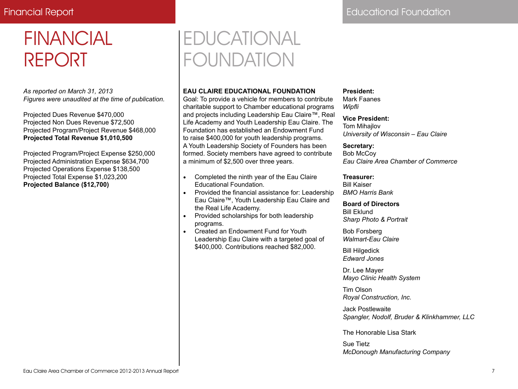# Financial Report **Educational Foundation**

# FINANCIAL REPORT

*As reported on March 31, 2013 Figures were unaudited at the time of publication.*

Projected Dues Revenue \$470,000 Projected Non Dues Revenue \$72,500 Projected Program/Project Revenue \$468,000 **Projected Total Revenue \$1,010,500**

Projected Program/Project Expense \$250,000 Projected Administration Expense \$634,700 Projected Operations Expense \$138,500 Projected Total Expense \$1,023,200 **Projected Balance (\$12,700)** 

# EDUCATIONAL FOUNDATION

## **EAU CLAIRE EDUCATIONAL FOUNDATION**

Goal: To provide a vehicle for members to contribute charitable support to Chamber educational programs and projects including Leadership Eau Claire™, Real Life Academy and Youth Leadership Eau Claire. The Foundation has established an Endowment Fund to raise \$400,000 for youth leadership programs. A Youth Leadership Society of Founders has been formed. Society members have agreed to contribute a minimum of \$2,500 over three years.

- Completed the ninth year of the Eau Claire Educational Foundation.
- Provided the financial assistance for: Leadership Eau Claire™, Youth Leadership Eau Claire and the Real Life Academy.
- Provided scholarships for both leadership programs.
- Created an Endowment Fund for Youth Leadership Eau Claire with a targeted goal of \$400,000. Contributions reached \$82,000.

#### **President:**

Mark Faanes *Wipfli* 

## **Vice President:**

Tom Mihajlov *University of Wisconsin – Eau Claire* 

#### **Secretary:**

Bob McCoy *Eau Claire Area Chamber of Commerce*

#### **Treasurer:**  Bill Kaiser

*BMO Harris Bank* 

#### **Board of Directors**  Bill Eklund *Sharp Photo & Portrait*

Bob Forsberg *Walmart-Eau Claire* 

Bill Hilgedick *Edward Jones*

Dr. Lee Mayer *Mayo Clinic Health System* 

Tim Olson *Royal Construction, Inc.* 

Jack Postlewaite *Spangler, Nodolf, Bruder & Klinkhammer, LLC* 

The Honorable Lisa Stark

Sue Tietz *McDonough Manufacturing Company*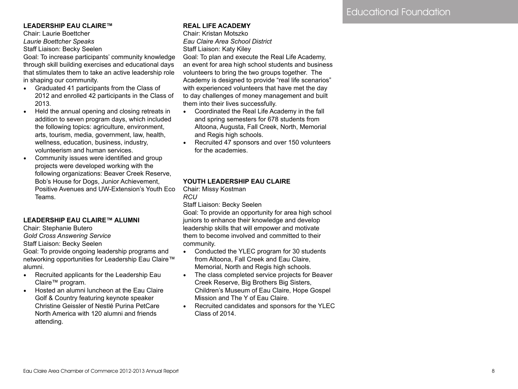#### **LEADERSHIP EAU CLAIRE™**

Chair: Laurie Boettcher *Laurie Boettcher Speaks* Staff Liaison: Becky Seelen

Goal: To increase participants' community knowledge through skill building exercises and educational days that stimulates them to take an active leadership role in shaping our community.

- Graduated 41 participants from the Class of 2012 and enrolled 42 participants in the Class of 2013.
- Held the annual opening and closing retreats in addition to seven program days, which included the following topics: agriculture, environment, arts, tourism, media, government, law, health, wellness, education, business, industry, volunteerism and human services.
- Community issues were identified and group projects were developed working with the following organizations: Beaver Creek Reserve, Bob's House for Dogs, Junior Achievement, Positive Avenues and UW-Extension's Youth Eco Teams.

#### **LEADERSHIP EAU CLAIRE™ ALUMNI**

Chair: Stephanie Butero

*Gold Cross Answering Service* 

Staff Liaison: Becky Seelen

Goal: To provide ongoing leadership programs and networking opportunities for Leadership Eau Claire™ alumni.

- Recruited applicants for the Leadership Eau Claire™ program.
- Hosted an alumni luncheon at the Eau Claire Golf & Country featuring keynote speaker Christine Geissler of Nestlé Purina PetCare North America with 120 alumni and friends attending.

#### **REAL LIFE ACADEMY**

Chair: Kristan Motszko *Eau Claire Area School District*  Staff Liaison: Katy Kiley Goal: To plan and execute the Real Life Academy, an event for area high school students and business volunteers to bring the two groups together. The Academy is designed to provide "real life scenarios" with experienced volunteers that have met the day to day challenges of money management and built them into their lives successfully.

- Coordinated the Real Life Academy in the fall and spring semesters for 678 students from Altoona, Augusta, Fall Creek, North, Memorial and Regis high schools.
- Recruited 47 sponsors and over 150 volunteers for the academies.

#### **YOUTH LEADERSHIP EAU CLAIRE**

Chair: Missy Kostman *RCU* 

Staff Liaison: Becky Seelen

Goal: To provide an opportunity for area high school juniors to enhance their knowledge and develop leadership skills that will empower and motivate them to become involved and committed to their community.

- Conducted the YLEC program for 30 students from Altoona, Fall Creek and Eau Claire, Memorial, North and Regis high schools.
- The class completed service projects for Beaver Creek Reserve, Big Brothers Big Sisters, Children's Museum of Eau Claire, Hope Gospel Mission and The Y of Eau Claire.
- Recruited candidates and sponsors for the YLEC Class of 2014.